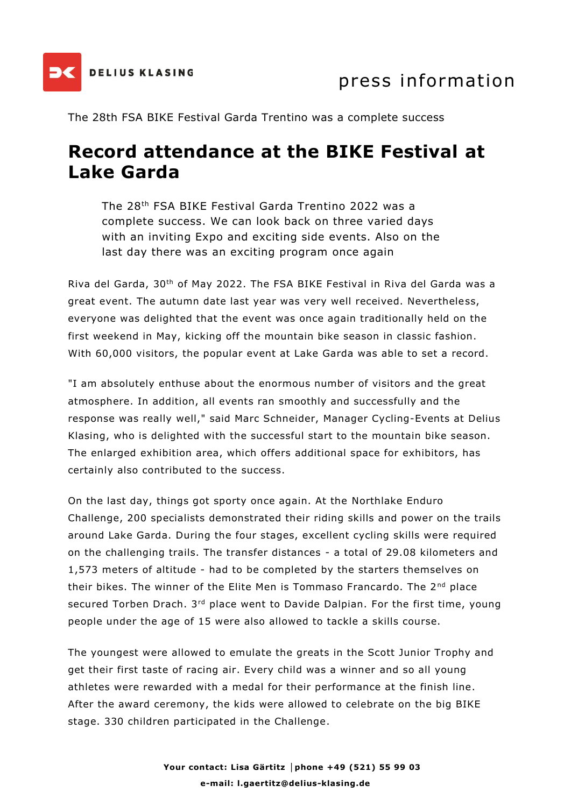

The 28th FSA BIKE Festival Garda Trentino was a complete success

## **Record attendance at the BIKE Festival at Lake Garda**

The 28th FSA BIKE Festival Garda Trentino 2022 was a complete success. We can look back on three varied days with an inviting Expo and exciting side events. Also on the last day there was an exciting program once again

Riva del Garda, 30th of May 2022. The FSA BIKE Festival in Riva del Garda was a great event. The autumn date last year was very well received. Nevertheless, everyone was delighted that the event was once again traditionally held on the first weekend in May, kicking off the mountain bike season in classic fashion. With 60,000 visitors, the popular event at Lake Garda was able to set a record.

"I am absolutely enthuse about the enormous number of visitors and the great atmosphere. In addition, all events ran smoothly and successfully and the response was really well," said Marc Schneider, Manager Cycling-Events at Delius Klasing, who is delighted with the successful start to the mountain bike season. The enlarged exhibition area, which offers additional space for exhibitors, has certainly also contributed to the success.

On the last day, things got sporty once again. At the Northlake Enduro Challenge, 200 specialists demonstrated their riding skills and power on the trails around Lake Garda. During the four stages, excellent cycling skills were required on the challenging trails. The transfer distances - a total of 29.08 kilometers and 1,573 meters of altitude - had to be completed by the starters themselves on their bikes. The winner of the Elite Men is Tommaso Francardo. The 2<sup>nd</sup> place secured Torben Drach. 3<sup>rd</sup> place went to Davide Dalpian. For the first time, young people under the age of 15 were also allowed to tackle a skills course.

The youngest were allowed to emulate the greats in the Scott Junior Trophy and get their first taste of racing air. Every child was a winner and so all young athletes were rewarded with a medal for their performance at the finish line. After the award ceremony, the kids were allowed to celebrate on the big BIKE stage. 330 children participated in the Challenge.